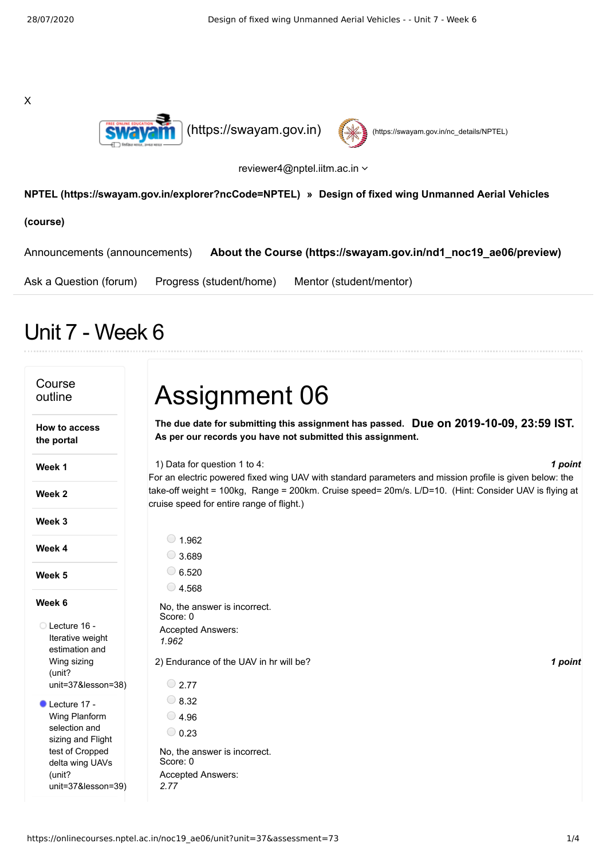X





reviewer4@nptel.iitm.ac.in

## **[NPTEL \(https://swayam.gov.in/explorer?ncCode=NPTEL\)](https://swayam.gov.in/explorer?ncCode=NPTEL) » Design of fixed wing Unmanned Aerial Vehicles**

**(course)**

[Announcements \(announcements\)](https://onlinecourses.nptel.ac.in/noc19_ae06/announcements) **[About the Course \(https://swayam.gov.in/nd1\\_noc19\\_ae06/preview\)](https://swayam.gov.in/nd1_noc19_ae06/preview)**

[Ask a Question \(forum\)](https://onlinecourses.nptel.ac.in/noc19_ae06/forum) [Progress \(student/home\)](https://onlinecourses.nptel.ac.in/noc19_ae06/student/home) [Mentor \(student/mentor\)](https://onlinecourses.nptel.ac.in/noc19_ae06/student/mentor)

## Unit 7 - Week 6

| Course<br>outline                                    | <b>Assignment 06</b>                                                                                                                                |
|------------------------------------------------------|-----------------------------------------------------------------------------------------------------------------------------------------------------|
| How to access<br>the portal                          | The due date for submitting this assignment has passed. Due on 2019-10-09, 23:59 IST.<br>As per our records you have not submitted this assignment. |
| Week 1                                               | 1) Data for question 1 to 4:<br>1 point<br>For an electric powered fixed wing UAV with standard parameters and mission profile is given below: the  |
| Week 2                                               | take-off weight = 100kg, Range = 200km. Cruise speed= 20m/s. L/D=10. (Hint: Consider UAV is flying at<br>cruise speed for entire range of flight.)  |
| Week 3                                               |                                                                                                                                                     |
| Week 4                                               | $\circ$ 1.962<br>$\bigcirc$ 3.689                                                                                                                   |
| Week 5                                               | $\circ$ 6.520                                                                                                                                       |
|                                                      | $\bigcirc$ 4.568                                                                                                                                    |
| Week 6                                               | No, the answer is incorrect.<br>Score: 0                                                                                                            |
| ◯ Lecture 16 -<br>Iterative weight<br>estimation and | Accepted Answers:<br>1.962                                                                                                                          |
| Wing sizing<br>(unit?                                | 2) Endurance of the UAV in hr will be?<br>1 point                                                                                                   |
| unit=37&lesson=38)                                   | $\bigcirc$ 2.77                                                                                                                                     |
| Lecture 17 -                                         | $\bigcirc$ 8.32                                                                                                                                     |
| Wing Planform                                        | $\bigcirc$ 4.96                                                                                                                                     |
| selection and<br>sizing and Flight                   | $\bigcirc$ 0.23                                                                                                                                     |
| test of Cropped<br>delta wing UAVs                   | No, the answer is incorrect.<br>Score: 0                                                                                                            |
| (unit?                                               | <b>Accepted Answers:</b>                                                                                                                            |
| unit=37&lesson=39)                                   | 2.77                                                                                                                                                |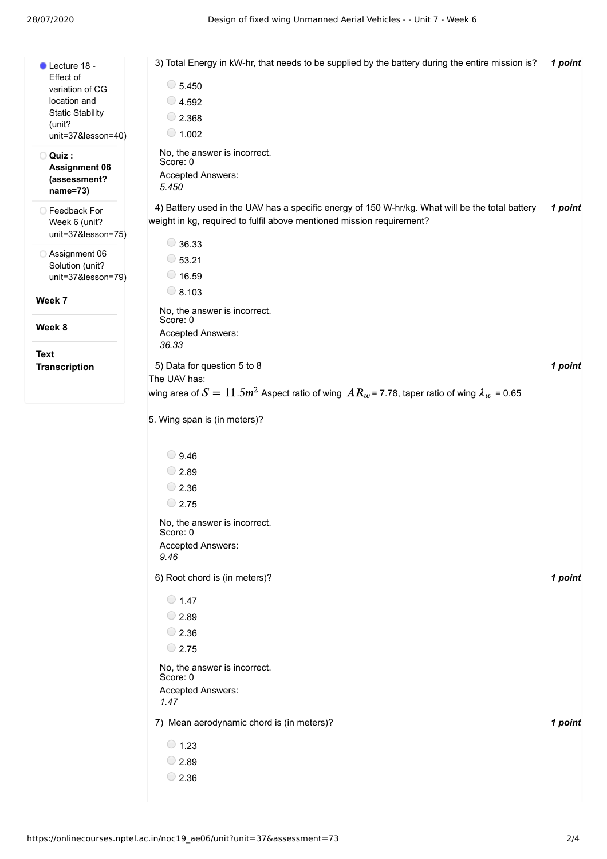| Lecture 18 -                            | 3) Total Energy in kW-hr, that needs to be supplied by the battery during the entire mission is?      | 1 point |
|-----------------------------------------|-------------------------------------------------------------------------------------------------------|---------|
| Effect of                               |                                                                                                       |         |
| variation of CG                         | $\circ$ 5.450                                                                                         |         |
| location and<br><b>Static Stability</b> | $\bigcirc$ 4.592                                                                                      |         |
| (unit?                                  | $\bigcirc$ 2.368                                                                                      |         |
| unit=37&lesson=40)                      | $\bigcirc$ 1.002                                                                                      |         |
| O Quiz:                                 | No, the answer is incorrect.<br>Score: 0                                                              |         |
| <b>Assignment 06</b><br>(assessment?    | Accepted Answers:                                                                                     |         |
| name=73)                                | 5.450                                                                                                 |         |
| <b>Eedback For</b>                      | 4) Battery used in the UAV has a specific energy of 150 W-hr/kg. What will be the total battery       | 1 point |
| Week 6 (unit?                           | weight in kg, required to fulfil above mentioned mission requirement?                                 |         |
| unit=37&lesson=75)                      |                                                                                                       |         |
| Assignment 06                           | $\bigcirc$ 36.33                                                                                      |         |
| Solution (unit?                         | $\circ$ 53.21                                                                                         |         |
| unit=37&lesson=79)                      | $\bigcirc$ 16.59                                                                                      |         |
| Week 7                                  | $\bigcirc$ 8.103                                                                                      |         |
|                                         | No, the answer is incorrect.<br>Score: 0                                                              |         |
| Week 8                                  | Accepted Answers:                                                                                     |         |
|                                         | 36.33                                                                                                 |         |
| <b>Text</b>                             | 5) Data for question 5 to 8                                                                           | 1 point |
| <b>Transcription</b>                    | The UAV has:                                                                                          |         |
|                                         | wing area of $S = 11.5m^2$ Aspect ratio of wing $AR_w$ = 7.78, taper ratio of wing $\lambda_w$ = 0.65 |         |
|                                         |                                                                                                       |         |
|                                         | 5. Wing span is (in meters)?                                                                          |         |
|                                         |                                                                                                       |         |
|                                         | $\bigcirc$ 9.46                                                                                       |         |
|                                         | $\bigcirc$ 2.89                                                                                       |         |
|                                         | $\bigcirc$ 2.36                                                                                       |         |
|                                         | $\bigcirc$ 2.75                                                                                       |         |
|                                         | No, the answer is incorrect.                                                                          |         |
|                                         | Score: 0                                                                                              |         |
|                                         | Accepted Answers:                                                                                     |         |
|                                         | 9.46                                                                                                  |         |
|                                         | 6) Root chord is (in meters)?                                                                         | 1 point |
|                                         | $\bigcirc$ 1.47                                                                                       |         |
|                                         | $\bigcirc$ 2.89                                                                                       |         |
|                                         | $\bigcirc$ 2.36                                                                                       |         |
|                                         | $\bigcirc$ 2.75                                                                                       |         |
|                                         |                                                                                                       |         |
|                                         | No, the answer is incorrect.<br>Score: 0                                                              |         |
|                                         | Accepted Answers:                                                                                     |         |
|                                         | 1.47                                                                                                  |         |
|                                         | 7) Mean aerodynamic chord is (in meters)?                                                             | 1 point |
|                                         |                                                                                                       |         |
|                                         | $\bigcirc$ 1.23                                                                                       |         |
|                                         | $\bigcirc$ 2.89                                                                                       |         |
|                                         | $\bigcirc$ 2.36                                                                                       |         |